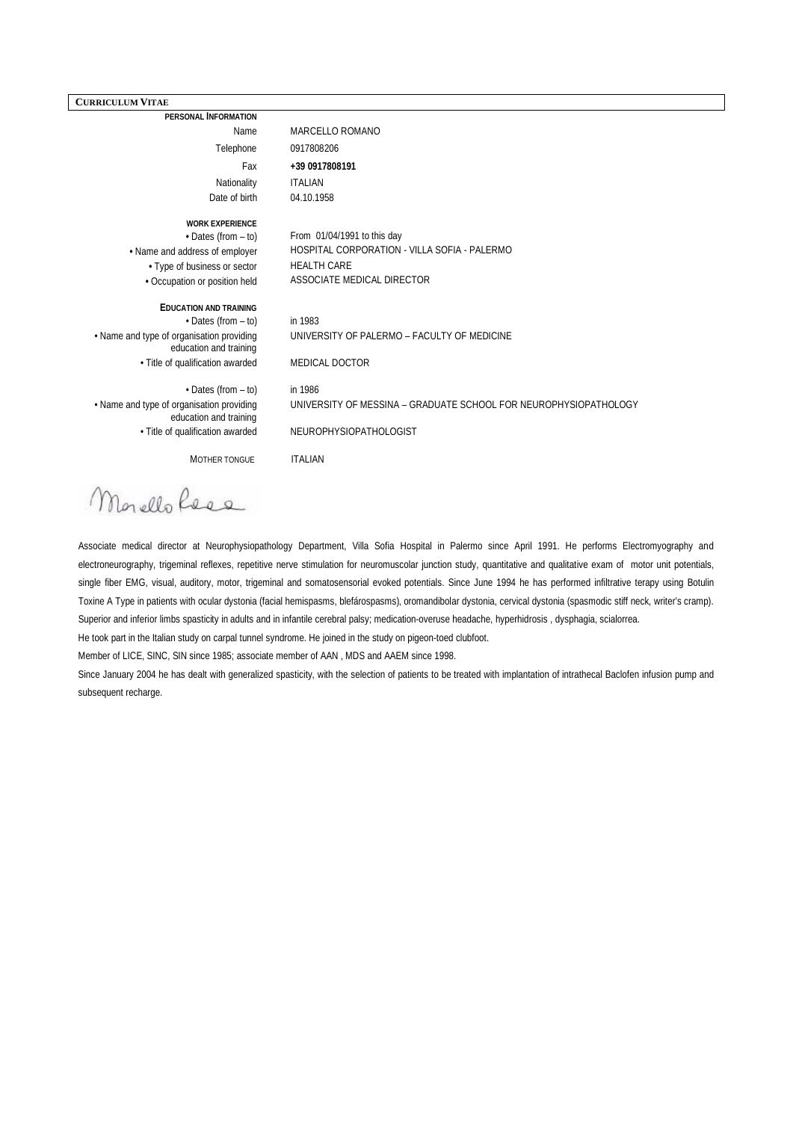## **CURRICULUM VITAE**

**PERSONAL INFORMATION**  Name MARCELLO ROMANO Telephone 0917808206 Fax **+39 0917808191** Nationality **ITALIAN** Date of birth 04.10.1958 **WORK EXPERIENCE •** Dates (from – to) From 01/04/1991 to this day **•** Name and address of employer HOSPITAL CORPORATION - VILLA SOFIA - PALERMO **•** Type of business or sector HEALTH CARE **•** Occupation or position held ASSOCIATE MEDICAL DIRECTOR **EDUCATION AND TRAINING** • Dates (from – to) in 1983 • Name and type of organisation providing education and training UNIVERSITY OF PALERMO – FACULTY OF MEDICINE • Title of qualification awarded MEDICAL DOCTOR • Dates (from – to) in 1986 • Name and type of organisation providing education and training UNIVERSITY OF MESSINA – GRADUATE SCHOOL FOR NEUROPHYSIOPATHOLOGY • Title of qualification awarded NEUROPHYSIOPATHOLOGIST MOTHER TONGUE ITALIAN

Morello Rees

Associate medical director at Neurophysiopathology Department, Villa Sofia Hospital in Palermo since April 1991. He performs Electromyography and electroneurography, trigeminal reflexes, repetitive nerve stimulation for neuromuscolar junction study, quantitative and qualitative exam of motor unit potentials, single fiber EMG, visual, auditory, motor, trigeminal and somatosensorial evoked potentials. Since June 1994 he has performed infiltrative terapy using Botulin Toxine A Type in patients with ocular dystonia (facial hemispasms, blefárospasms), oromandibolar dystonia, cervical dystonia (spasmodic stiff neck, writer's cramp). Superior and inferior limbs spasticity in adults and in infantile cerebral palsy; medication-overuse headache, hyperhidrosis , dysphagia, scialorrea.

He took part in the Italian study on carpal tunnel syndrome. He joined in the study on pigeon-toed clubfoot.

Member of LICE, SINC, SIN since 1985; associate member of AAN , MDS and AAEM since 1998.

Since January 2004 he has dealt with generalized spasticity, with the selection of patients to be treated with implantation of intrathecal Baclofen infusion pump and subsequent recharge.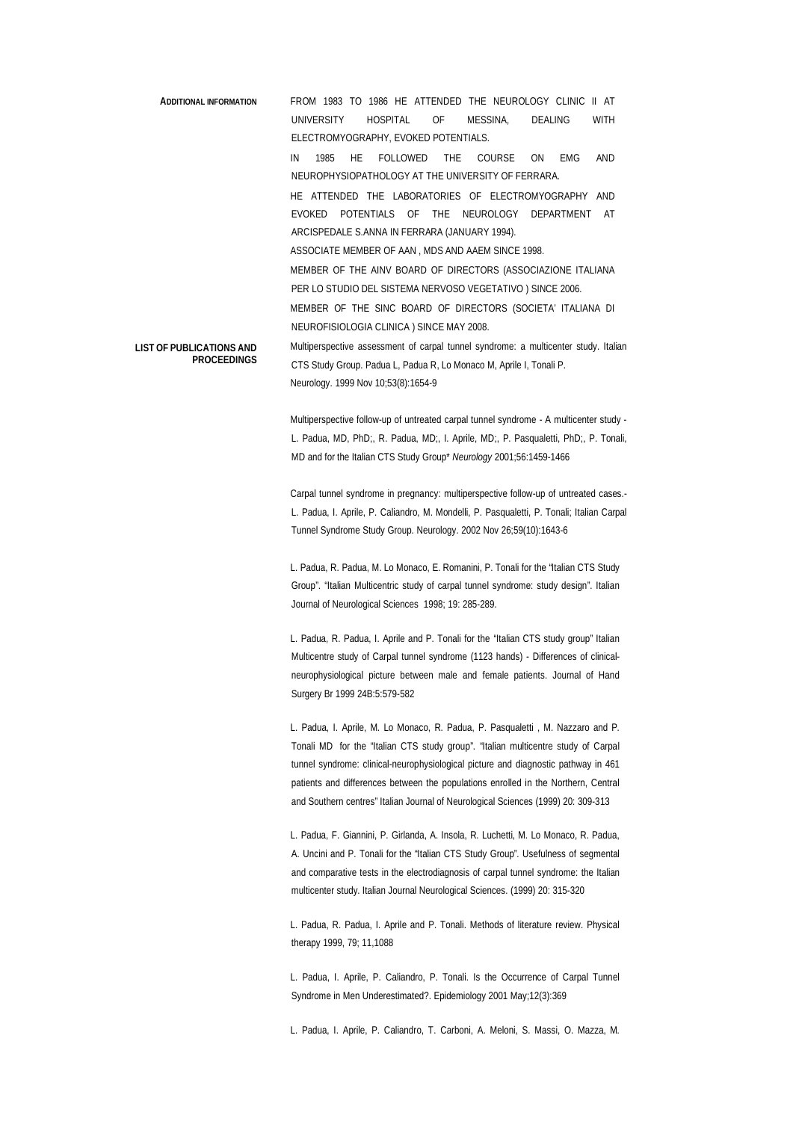```
ADDITIONAL INFORMATION FROM 1983 TO 1986 HE ATTENDED THE NEUROLOGY CLINIC II AT 
                             UNIVERSITY HOSPITAL OF MESSINA, DEALING WITH 
                             ELECTROMYOGRAPHY, EVOKED POTENTIALS.
                             IN 1985 HE FOLLOWED THE COURSE ON EMG AND 
                             NEUROPHYSIOPATHOLOGY AT THE UNIVERSITY OF FERRARA.
                             HE ATTENDED THE LABORATORIES OF ELECTROMYOGRAPHY AND 
                             EVOKED POTENTIALS OF THE NEUROLOGY DEPARTMENT AT 
                             ARCISPEDALE S.ANNA IN FERRARA (JANUARY 1994).
                             ASSOCIATE MEMBER OF AAN , MDS AND AAEM SINCE 1998.
                             MEMBER OF THE AINV BOARD OF DIRECTORS (ASSOCIAZIONE ITALIANA 
                             PER LO STUDIO DEL SISTEMA NERVOSO VEGETATIVO ) SINCE 2006.
                             MEMBER OF THE SINC BOARD OF DIRECTORS (SOCIETA' ITALIANA DI 
                             NEUROFISIOLOGIA CLINICA ) SINCE MAY 2008.
LIST OF PUBLICATIONS AND
          PROCEEDINGS
                             Multiperspective assessment of carpal tunnel syndrome: a multicenter study. Italian 
                             CTS Study Group. Padua L, Padua R, Lo Monaco M, Aprile I, Tonali P.
                             Neurology. 1999 Nov 10;53(8):1654-9
```
Multiperspective follow-up of untreated carpal tunnel syndrome - A multicenter study - L. Padua, MD, PhD;, R. Padua, MD;, I. Aprile, MD;, P. Pasqualetti, PhD;, P. Tonali, MD and for the Italian CTS Study Group\* *Neurology* 2001;56:1459-1466

Carpal tunnel syndrome in pregnancy: multiperspective follow-up of untreated cases.- L. Padua, I[. Aprile,](http://www.ncbi.nlm.nih.gov/sites/entrez?Db=pubmed&Cmd=Search&Term=%22Aprile%20I%22%5BAuthor%5D&itool=EntrezSystem2.PEntrez.Pubmed.Pubmed_ResultsPanel.Pubmed_RVAbstractPlus) P[. Caliandro,](http://www.ncbi.nlm.nih.gov/sites/entrez?Db=pubmed&Cmd=Search&Term=%22Caliandro%20P%22%5BAuthor%5D&itool=EntrezSystem2.PEntrez.Pubmed.Pubmed_ResultsPanel.Pubmed_RVAbstractPlus) M[. Mondelli,](http://www.ncbi.nlm.nih.gov/sites/entrez?Db=pubmed&Cmd=Search&Term=%22Mondelli%20M%22%5BAuthor%5D&itool=EntrezSystem2.PEntrez.Pubmed.Pubmed_ResultsPanel.Pubmed_RVAbstractPlus) P[. Pasqualetti,](http://www.ncbi.nlm.nih.gov/sites/entrez?Db=pubmed&Cmd=Search&Term=%22Pasqualetti%20P%22%5BAuthor%5D&itool=EntrezSystem2.PEntrez.Pubmed.Pubmed_ResultsPanel.Pubmed_RVAbstractPlus) P. Tonali[; Italian Carpal](http://www.ncbi.nlm.nih.gov/sites/entrez?Db=pubmed&Cmd=Search&Term=%22Italian%20Carpal%20Tunnel%20Syndrome%20Study%20Group%22%5BCorporate%20Author%5D&itool=EntrezSystem2.PEntrez.Pubmed.Pubmed_ResultsPanel.Pubmed_RVAbstractPlus)  [Tunnel Syndrome Study Group.](http://www.ncbi.nlm.nih.gov/sites/entrez?Db=pubmed&Cmd=Search&Term=%22Italian%20Carpal%20Tunnel%20Syndrome%20Study%20Group%22%5BCorporate%20Author%5D&itool=EntrezSystem2.PEntrez.Pubmed.Pubmed_ResultsPanel.Pubmed_RVAbstractPlus) [Neurology.](javascript:AL_get(this,%20) 2002 Nov 26;59(10):1643-6

L. Padua, R. Padua, M. Lo Monaco, E. Romanini, P. Tonali for the "Italian CTS Study Group". "Italian Multicentric study of carpal tunnel syndrome: study design". Italian Journal of Neurological Sciences 1998; 19: 285-289.

L. Padua, R. Padua, I. Aprile and P. Tonali for the "Italian CTS study group" Italian Multicentre study of Carpal tunnel syndrome (1123 hands) - Differences of clinicalneurophysiological picture between male and female patients. Journal of Hand Surgery Br 1999 24B:5:579-582

L. Padua, I. Aprile, M. Lo Monaco, R. Padua, P. Pasqualetti , M. Nazzaro and P. Tonali MD for the "Italian CTS study group". "Italian multicentre study of Carpal tunnel syndrome: clinical-neurophysiological picture and diagnostic pathway in 461 patients and differences between the populations enrolled in the Northern, Central and Southern centres" Italian Journal of Neurological Sciences (1999) 20: 309-313

L. Padua, F. Giannini, P. Girlanda, A. Insola, R. Luchetti, M. Lo Monaco, R. Padua, A. Uncini and P. Tonali for the "Italian CTS Study Group". Usefulness of segmental and comparative tests in the electrodiagnosis of carpal tunnel syndrome: the Italian multicenter study. Italian Journal Neurological Sciences. (1999) 20: 315-320

L. Padua, R. Padua, I. Aprile and P. Tonali. Methods of literature review. Physical therapy 1999, 79; 11,1088

L. Padua, I. Aprile, P. Caliandro, P. Tonali. Is the Occurrence of Carpal Tunnel Syndrome in Men Underestimated?. Epidemiology 2001 May;12(3):369

L. Padua, I. Aprile, P. Caliandro, T. Carboni, A. Meloni, S. Massi, O. Mazza, M.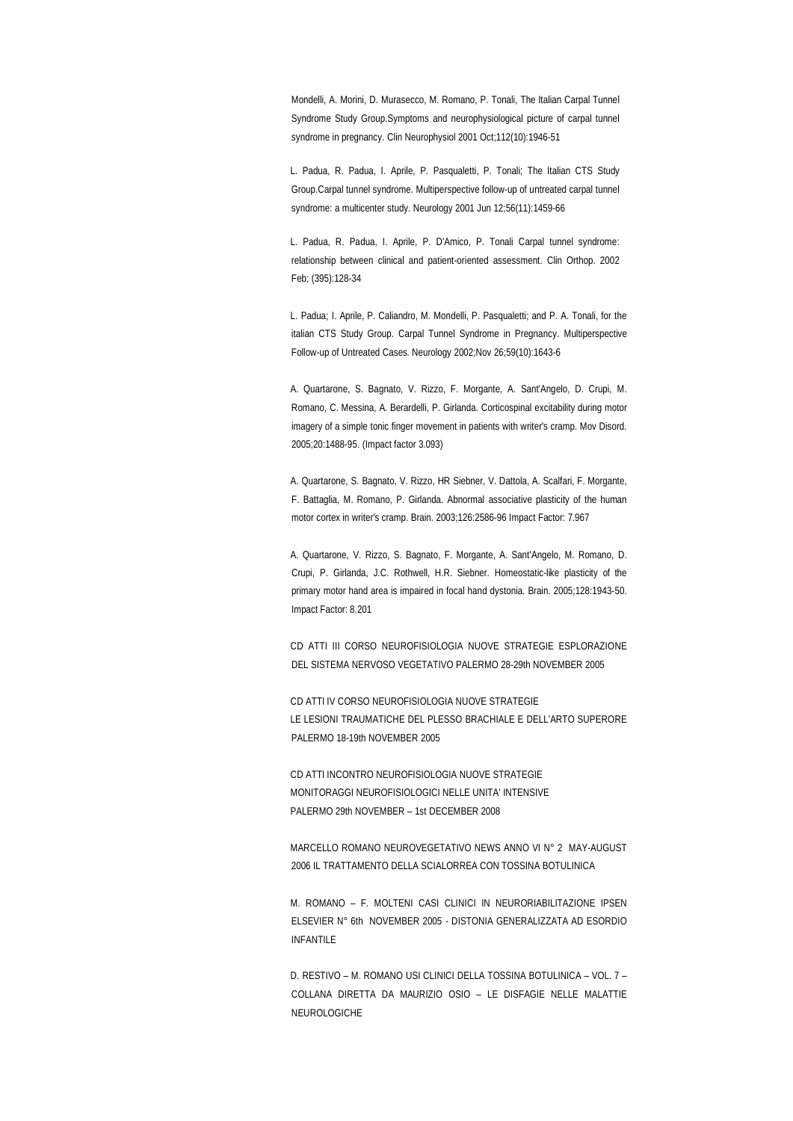Mondelli, A. Morini, D. Murasecco, M. Romano, P. Tonali, The Italian Carpal Tunnel Syndrome Study Group.Symptoms and neurophysiological picture of carpal tunnel syndrome in pregnancy. Clin Neurophysiol 2001 Oct;112(10):1946-51

L. Padua, R. Padua, I. Aprile, P. Pasqualetti, P. Tonali; The Italian CTS Study Group.Carpal tunnel syndrome. Multiperspective follow-up of untreated carpal tunnel syndrome: a multicenter study. Neurology 2001 Jun 12;56(11):1459-66

L. Padua, R. Padua, I. Aprile, P. D'Amico, P. Tonali Carpal tunnel syndrome: relationship between clinical and patient-oriented assessment. Clin Orthop. 2002 Feb; (395):128-34

L. Padua; I. Aprile, P. Caliandro, M. Mondelli, P. Pasqualetti; and P. A. Tonali, for the italian CTS Study Group. Carpal Tunnel Syndrome in Pregnancy. Multiperspective Follow-up of Untreated Cases. Neurology 2002;Nov 26;59(10):1643-6

A. Quartarone, S. Bagnato, V. Rizzo, F. Morgante, A. Sant'Angelo, D. Crupi, M. Romano, C. Messina, A. Berardelli, P. Girlanda. Corticospinal excitability during motor imagery of a simple tonic finger movement in patients with writer's cramp. Mov Disord. 2005;20:1488-95. (Impact factor 3.093)

A. Quartarone, S. Bagnato, V. Rizzo, HR Siebner, V. Dattola, A. Scalfari, F. Morgante, F. Battaglia, M. Romano, P. Girlanda. Abnormal associative plasticity of the human motor cortex in writer's cramp. Brain. 2003;126:2586-96 Impact Factor: 7.967

A. Quartarone, V. Rizzo, S. Bagnato, F. Morgante, A. Sant'Angelo, M. Romano, D. Crupi, P. Girlanda, J.C. Rothwell, H.R. Siebner. Homeostatic-like plasticity of the primary motor hand area is impaired in focal hand dystonia. Brain. 2005;128:1943-50. Impact Factor: 8.201

CD ATTI III CORSO NEUROFISIOLOGIA NUOVE STRATEGIE ESPLORAZIONE DEL SISTEMA NERVOSO VEGETATIVO PALERMO 28-29th NOVEMBER 2005

CD ATTI IV CORSO NEUROFISIOLOGIA NUOVE STRATEGIE LE LESIONI TRAUMATICHE DEL PLESSO BRACHIALE E DELL'ARTO SUPERORE PALERMO 18-19th NOVEMBER 2005

CD ATTI INCONTRO NEUROFISIOLOGIA NUOVE STRATEGIE MONITORAGGI NEUROFISIOLOGICI NELLE UNITA' INTENSIVE PALERMO 29th NOVEMBER – 1st DECEMBER 2008

MARCELLO ROMANO NEUROVEGETATIVO NEWS ANNO VI N° 2 MAY-AUGUST 2006 IL TRATTAMENTO DELLA SCIALORREA CON TOSSINA BOTULINICA

M. ROMANO – F. MOLTENI CASI CLINICI IN NEURORIABILITAZIONE IPSEN ELSEVIER N° 6th NOVEMBER 2005 - DISTONIA GENERALIZZATA AD ESORDIO INFANTILE

D. RESTIVO – M. ROMANO USI CLINICI DELLA TOSSINA BOTULINICA – VOL. 7 – COLLANA DIRETTA DA MAURIZIO OSIO – LE DISFAGIE NELLE MALATTIE NEUROLOGICHE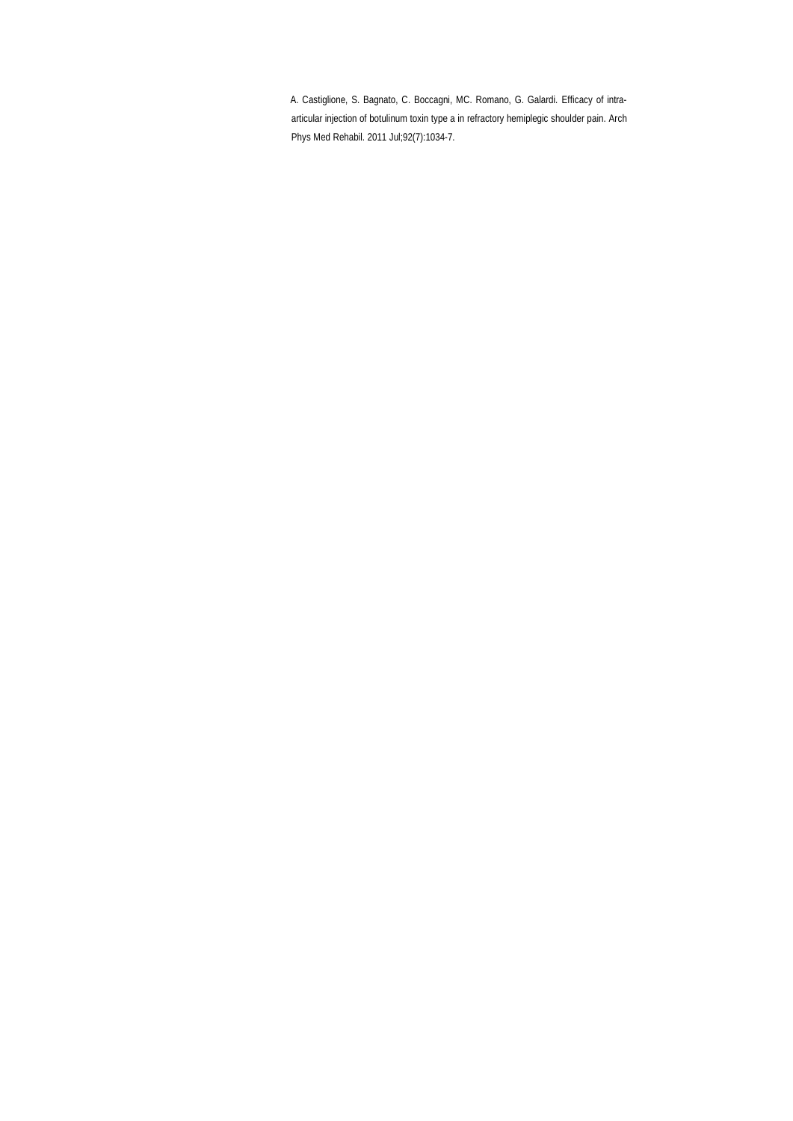A. Castiglione, S. [Bagnato,](http://www.ncbi.nlm.nih.gov/pubmed?term=%22Bagnato%20S%22%5BAuthor%5D) C. [Boccagni,](http://www.ncbi.nlm.nih.gov/pubmed?term=%22Boccagni%20C%22%5BAuthor%5D) MC. [Romano,](http://www.ncbi.nlm.nih.gov/pubmed?term=%22Romano%20MC%22%5BAuthor%5D) G. [Galardi.](http://www.ncbi.nlm.nih.gov/pubmed?term=%22Galardi%20G%22%5BAuthor%5D) Efficacy of intraarticular injection of botulinum toxin type a in refractory hemiplegic shoulder pain[. Arch](http://www.ncbi.nlm.nih.gov/pubmed/21704782)  [Phys Med Rehabil.](http://www.ncbi.nlm.nih.gov/pubmed/21704782) 2011 Jul;92(7):1034-7.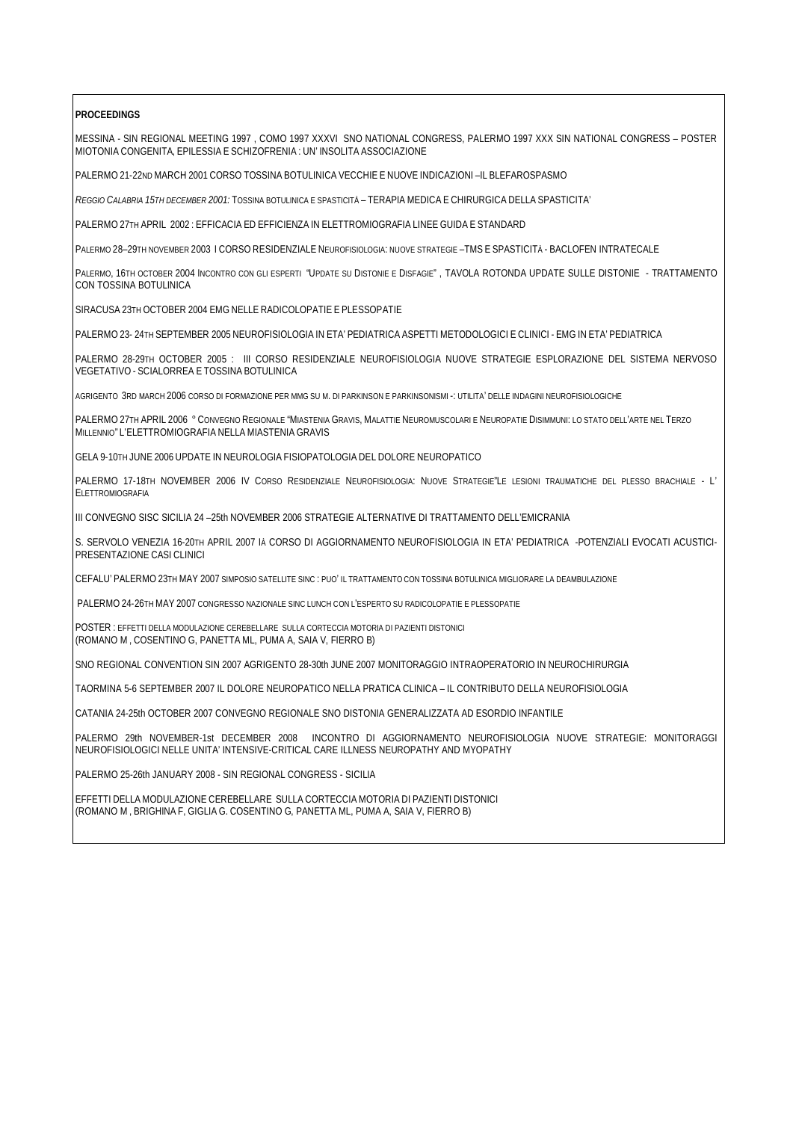## **PROCEEDINGS**

MESSINA - SIN REGIONAL MEETING 1997 , COMO 1997 XXXVI SNO NATIONAL CONGRESS, PALERMO 1997 XXX SIN NATIONAL CONGRESS – POSTER MIOTONIA CONGENITA, EPILESSIA E SCHIZOFRENIA : UN' INSOLITA ASSOCIAZIONE

PALERMO 21-22ND MARCH 2001 CORSO TOSSINA BOTULINICA VECCHIE E NUOVE INDICAZIONI –IL BLEFAROSPASMO

*REGGIO CALABRIA 15TH DECEMBER 2001:* TOSSINA BOTULINICA E SPASTICITÀ – TERAPIA MEDICA E CHIRURGICA DELLA SPASTICITA'

PALERMO 27TH APRIL 2002 : EFFICACIA ED EFFICIENZA IN ELETTROMIOGRAFIA LINEE GUIDA E STANDARD

PALERMO 28–29TH NOVEMBER 2003 I CORSO RESIDENZIALE NEUROFISIOLOGIA: NUOVE STRATEGIE –TMS E SPASTICITÀ - BACLOFEN INTRATECALE

PALERMO, 16TH OCTOBER 2004 INCONTRO CON GLI ESPERTI "UPDATE SU DISTONIE E DISFAGIE" , TAVOLA ROTONDA UPDATE SULLE DISTONIE - TRATTAMENTO CON TOSSINA BOTULINICA

SIRACUSA 23TH OCTOBER 2004 EMG NELLE RADICOLOPATIE E PLESSOPATIE

PALERMO 23- 24TH SEPTEMBER 2005 NEUROFISIOLOGIA IN ETA' PEDIATRICA ASPETTI METODOLOGICI E CLINICI - EMG IN ETA' PEDIATRICA

PALERMO 28-29TH OCTOBER 2005 : III CORSO RESIDENZIALE NEUROFISIOLOGIA NUOVE STRATEGIE ESPLORAZIONE DEL SISTEMA NERVOSO VEGETATIVO - SCIALORREA E TOSSINA BOTULINICA

AGRIGENTO 3RD MARCH 2006 CORSO DI FORMAZIONE PER MMG SU M. DI PARKINSON E PARKINSONISMI -: UTILITA' DELLE INDAGINI NEUROFISIOLOGICHE

PALERMO 27TH APRIL 2006 ° CONVEGNO REGIONALE "MIASTENIA GRAVIS, MALATTIE NEUROMUSCOLARI E NEUROPATIE DISIMMUNI: LO STATO DELL'ARTE NEL TERZO MILLENNIO" L'ELETTROMIOGRAFIA NELLA MIASTENIA GRAVIS

GELA 9-10TH JUNE 2006 UPDATE IN NEUROLOGIA FISIOPATOLOGIA DEL DOLORE NEUROPATICO

PALERMO 17-18TH NOVEMBER 2006 IV CORSO RESIDENZIALE NEUROFISIOLOGIA: NUOVE STRATEGIE"LE LESIONI TRAUMATICHE DEL PLESSO BRACHIALE - L' ELETTROMIOGRAFIA

III CONVEGNO SISC SICILIA 24 –25th NOVEMBER 2006 STRATEGIE ALTERNATIVE DI TRATTAMENTO DELL'EMICRANIA

S. SERVOLO VENEZIA 16-20TH APRIL 2007 IÀ CORSO DI AGGIORNAMENTO NEUROFISIOLOGIA IN ETA' PEDIATRICA -POTENZIALI EVOCATI ACUSTICI-PRESENTAZIONE CASI CLINICI

CEFALU' PALERMO 23TH MAY 2007 SIMPOSIO SATELLITE SINC : PUO' IL TRATTAMENTO CON TOSSINA BOTULINICA MIGLIORARE LA DEAMBULAZIONE

PALERMO 24-26TH MAY 2007 CONGRESSO NAZIONALE SINC LUNCH CON L'ESPERTO SU RADICOLOPATIE E PLESSOPATIE

POSTER : EFFETTI DELLA MODULAZIONE CEREBELLARE SULLA CORTECCIA MOTORIA DI PAZIENTI DISTONICI (ROMANO M , COSENTINO G, PANETTA ML, PUMA A, SAIA V, FIERRO B)

SNO REGIONAL CONVENTION SIN 2007 AGRIGENTO 28-30th JUNE 2007 MONITORAGGIO INTRAOPERATORIO IN NEUROCHIRURGIA

TAORMINA 5-6 SEPTEMBER 2007 IL DOLORE NEUROPATICO NELLA PRATICA CLINICA – IL CONTRIBUTO DELLA NEUROFISIOLOGIA

CATANIA 24-25th OCTOBER 2007 CONVEGNO REGIONALE SNO DISTONIA GENERALIZZATA AD ESORDIO INFANTILE

PALERMO 29th NOVEMBER-1st DECEMBER 2008 INCONTRO DI AGGIORNAMENTO NEUROFISIOLOGIA NUOVE STRATEGIE: MONITORAGGI NEUROFISIOLOGICI NELLE UNITA' INTENSIVE-CRITICAL CARE ILLNESS NEUROPATHY AND MYOPATHY

PALERMO 25-26th JANUARY 2008 - SIN REGIONAL CONGRESS - SICILIA

EFFETTI DELLA MODULAZIONE CEREBELLARE SULLA CORTECCIA MOTORIA DI PAZIENTI DISTONICI (ROMANO M , BRIGHINA F, GIGLIA G. COSENTINO G, PANETTA ML, PUMA A, SAIA V, FIERRO B)